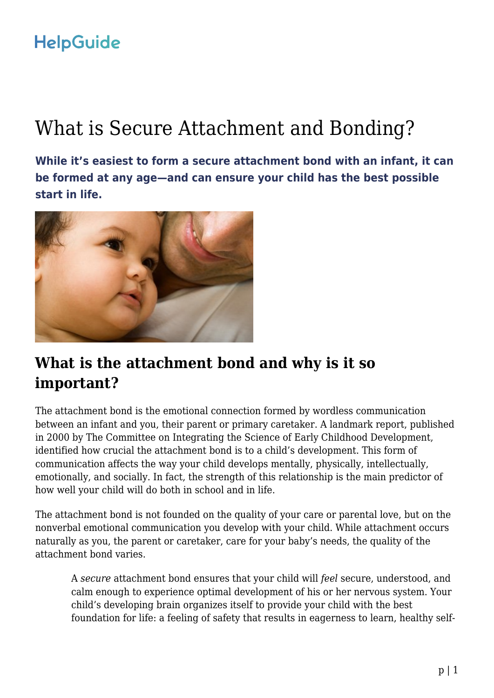# What is Secure Attachment and Bonding?

**While it's easiest to form a secure attachment bond with an infant, it can be formed at any age—and can ensure your child has the best possible start in life.**



## **What is the attachment bond and why is it so important?**

The attachment bond is the emotional connection formed by wordless communication between an infant and you, their parent or primary caretaker. A landmark report, published in 2000 by The Committee on Integrating the Science of Early Childhood Development, identified how crucial the attachment bond is to a child's development. This form of communication affects the way your child develops mentally, physically, intellectually, emotionally, and socially. In fact, the strength of this relationship is the main predictor of how well your child will do both in school and in life.

The attachment bond is not founded on the quality of your care or parental love, but on the nonverbal emotional communication you develop with your child. While attachment occurs naturally as you, the parent or caretaker, care for your baby's needs, the quality of the attachment bond varies.

A *secure* attachment bond ensures that your child will *feel* secure, understood, and calm enough to experience optimal development of his or her nervous system. Your child's developing brain organizes itself to provide your child with the best foundation for life: a feeling of safety that results in eagerness to learn, healthy self-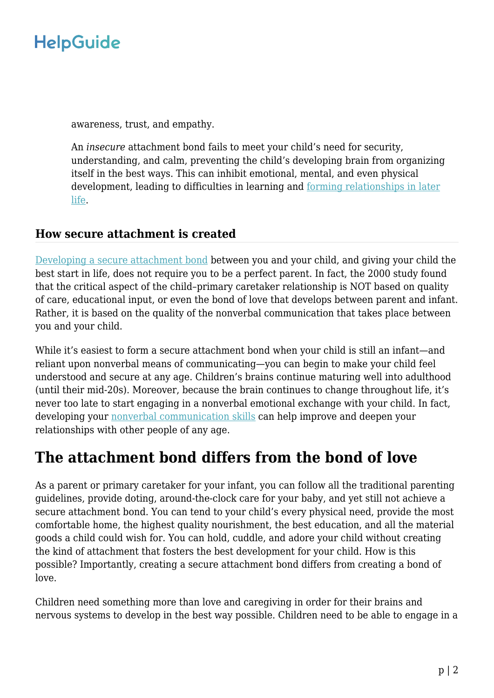awareness, trust, and empathy.

An *insecure* attachment bond fails to meet your child's need for security, understanding, and calm, preventing the child's developing brain from organizing itself in the best ways. This can inhibit emotional, mental, and even physical development, leading to difficulties in learning and [forming relationships in later](https://www.helpguide.org/articles/relationships-communication/attachment-and-adult-relationships.htm) [life](https://www.helpguide.org/articles/relationships-communication/attachment-and-adult-relationships.htm).

### **How secure attachment is created**

[Developing a secure attachment bond](https://www.helpguide.org/articles/parenting-family/building-a-secure-attachment-bond-with-your-baby.htm) between you and your child, and giving your child the best start in life, does not require you to be a perfect parent. In fact, the 2000 study found that the critical aspect of the child–primary caretaker relationship is NOT based on quality of care, educational input, or even the bond of love that develops between parent and infant. Rather, it is based on the quality of the nonverbal communication that takes place between you and your child.

While it's easiest to form a secure attachment bond when your child is still an infant—and reliant upon nonverbal means of communicating—you can begin to make your child feel understood and secure at any age. Children's brains continue maturing well into adulthood (until their mid-20s). Moreover, because the brain continues to change throughout life, it's never too late to start engaging in a nonverbal emotional exchange with your child. In fact, developing your **nonverbal** communication skills can help improve and deepen your relationships with other people of any age.

## **The attachment bond differs from the bond of love**

As a parent or primary caretaker for your infant, you can follow all the traditional parenting guidelines, provide doting, around-the-clock care for your baby, and yet still not achieve a secure attachment bond. You can tend to your child's every physical need, provide the most comfortable home, the highest quality nourishment, the best education, and all the material goods a child could wish for. You can hold, cuddle, and adore your child without creating the kind of attachment that fosters the best development for your child. How is this possible? Importantly, creating a secure attachment bond differs from creating a bond of love.

Children need something more than love and caregiving in order for their brains and nervous systems to develop in the best way possible. Children need to be able to engage in a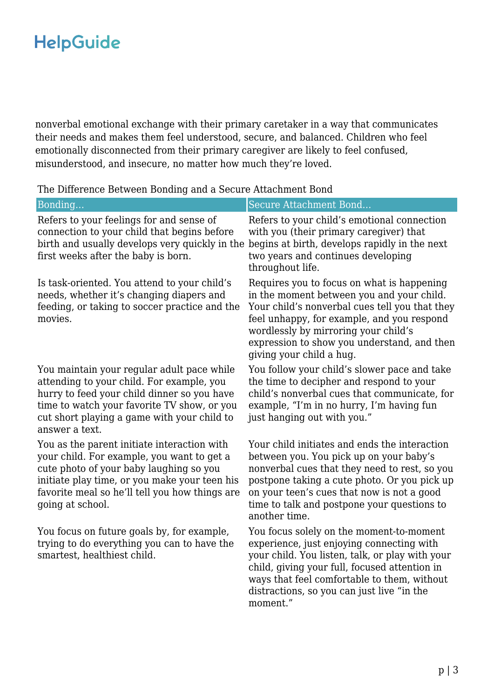nonverbal emotional exchange with their primary caretaker in a way that communicates their needs and makes them feel understood, secure, and balanced. Children who feel emotionally disconnected from their primary caregiver are likely to feel confused, misunderstood, and insecure, no matter how much they're loved.

| Bonding                                                                                                                                                                                                                                                     | Secure Attachment Bond                                                                                                                                                                                                                                                                                     |
|-------------------------------------------------------------------------------------------------------------------------------------------------------------------------------------------------------------------------------------------------------------|------------------------------------------------------------------------------------------------------------------------------------------------------------------------------------------------------------------------------------------------------------------------------------------------------------|
| Refers to your feelings for and sense of<br>connection to your child that begins before<br>birth and usually develops very quickly in the<br>first weeks after the baby is born.                                                                            | Refers to your child's emotional connection<br>with you (their primary caregiver) that<br>begins at birth, develops rapidly in the next<br>two years and continues developing<br>throughout life.                                                                                                          |
| Is task-oriented. You attend to your child's<br>needs, whether it's changing diapers and<br>feeding, or taking to soccer practice and the<br>movies.                                                                                                        | Requires you to focus on what is happening<br>in the moment between you and your child.<br>Your child's nonverbal cues tell you that they<br>feel unhappy, for example, and you respond<br>wordlessly by mirroring your child's<br>expression to show you understand, and then<br>giving your child a hug. |
| You maintain your regular adult pace while<br>attending to your child. For example, you<br>hurry to feed your child dinner so you have<br>time to watch your favorite TV show, or you<br>cut short playing a game with your child to<br>answer a text.      | You follow your child's slower pace and take<br>the time to decipher and respond to your<br>child's nonverbal cues that communicate, for<br>example, "I'm in no hurry, I'm having fun<br>just hanging out with you."                                                                                       |
| You as the parent initiate interaction with<br>your child. For example, you want to get a<br>cute photo of your baby laughing so you<br>initiate play time, or you make your teen his<br>favorite meal so he'll tell you how things are<br>going at school. | Your child initiates and ends the interaction<br>between you. You pick up on your baby's<br>nonverbal cues that they need to rest, so you<br>postpone taking a cute photo. Or you pick up<br>on your teen's cues that now is not a good<br>time to talk and postpone your questions to<br>another time.    |
| You focus on future goals by, for example,<br>trying to do everything you can to have the<br>smartest, healthiest child.                                                                                                                                    | You focus solely on the moment-to-moment<br>experience, just enjoying connecting with<br>your child. You listen, talk, or play with your<br>child, giving your full, focused attention in<br>ways that feel comfortable to them, without<br>distractions, so you can just live "in the                     |

moment."

The Difference Between Bonding and a Secure Attachment Bond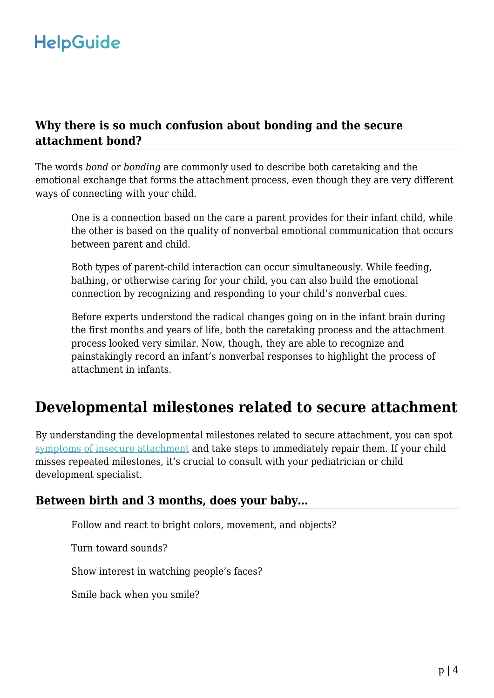### **Why there is so much confusion about bonding and the secure attachment bond?**

The words *bond* or *bonding* are commonly used to describe both caretaking and the emotional exchange that forms the attachment process, even though they are very different ways of connecting with your child.

One is a connection based on the care a parent provides for their infant child, while the other is based on the quality of nonverbal emotional communication that occurs between parent and child.

Both types of parent-child interaction can occur simultaneously. While feeding, bathing, or otherwise caring for your child, you can also build the emotional connection by recognizing and responding to your child's nonverbal cues.

Before experts understood the radical changes going on in the infant brain during the first months and years of life, both the caretaking process and the attachment process looked very similar. Now, though, they are able to recognize and painstakingly record an infant's nonverbal responses to highlight the process of attachment in infants.

## **Developmental milestones related to secure attachment**

By understanding the developmental milestones related to secure attachment, you can spot [symptoms of insecure attachment](https://www.helpguide.org/articles/parenting-family/attachment-issues-and-reactive-attachment-disorders.htm) and take steps to immediately repair them. If your child misses repeated milestones, it's crucial to consult with your pediatrician or child development specialist.

#### **Between birth and 3 months, does your baby…**

Follow and react to bright colors, movement, and objects?

Turn toward sounds?

Show interest in watching people's faces?

Smile back when you smile?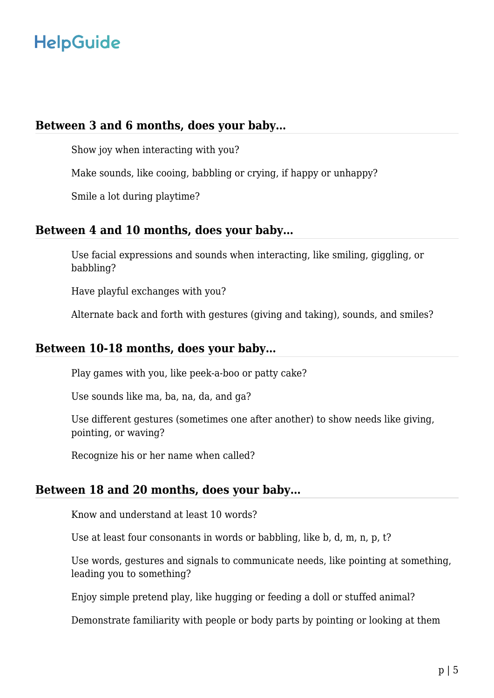#### **Between 3 and 6 months, does your baby…**

Show joy when interacting with you?

Make sounds, like cooing, babbling or crying, if happy or unhappy?

Smile a lot during playtime?

#### **Between 4 and 10 months, does your baby…**

Use facial expressions and sounds when interacting, like smiling, giggling, or babbling?

Have playful exchanges with you?

Alternate back and forth with gestures (giving and taking), sounds, and smiles?

### **Between 10-18 months, does your baby…**

Play games with you, like peek-a-boo or patty cake?

Use sounds like ma, ba, na, da, and ga?

Use different gestures (sometimes one after another) to show needs like giving, pointing, or waving?

Recognize his or her name when called?

### **Between 18 and 20 months, does your baby…**

Know and understand at least 10 words?

Use at least four consonants in words or babbling, like b, d, m, n, p, t?

Use words, gestures and signals to communicate needs, like pointing at something, leading you to something?

Enjoy simple pretend play, like hugging or feeding a doll or stuffed animal?

Demonstrate familiarity with people or body parts by pointing or looking at them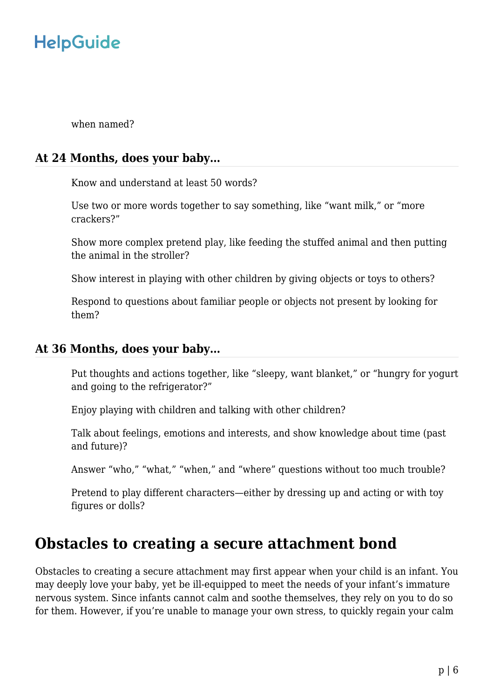when named?

#### **At 24 Months, does your baby…**

Know and understand at least 50 words?

Use two or more words together to say something, like "want milk," or "more crackers?"

Show more complex pretend play, like feeding the stuffed animal and then putting the animal in the stroller?

Show interest in playing with other children by giving objects or toys to others?

Respond to questions about familiar people or objects not present by looking for them?

#### **At 36 Months, does your baby…**

Put thoughts and actions together, like "sleepy, want blanket," or "hungry for yogurt and going to the refrigerator?"

Enjoy playing with children and talking with other children?

Talk about feelings, emotions and interests, and show knowledge about time (past and future)?

Answer "who," "what," "when," and "where" questions without too much trouble?

Pretend to play different characters—either by dressing up and acting or with toy figures or dolls?

### **Obstacles to creating a secure attachment bond**

Obstacles to creating a secure attachment may first appear when your child is an infant. You may deeply love your baby, yet be ill-equipped to meet the needs of your infant's immature nervous system. Since infants cannot calm and soothe themselves, they rely on you to do so for them. However, if you're unable to manage your own stress, to quickly regain your calm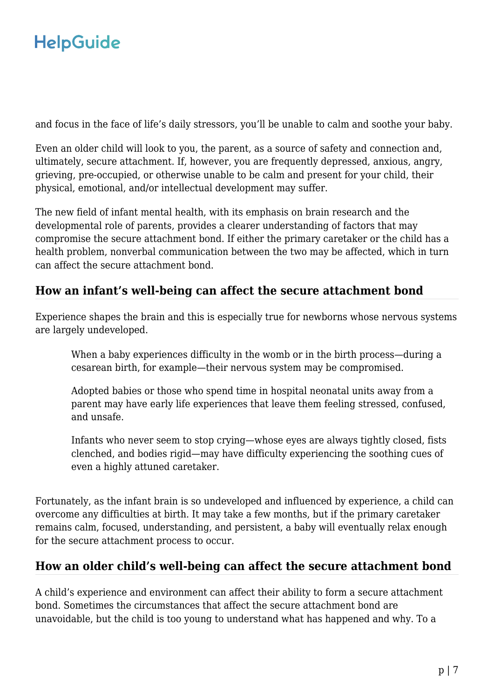and focus in the face of life's daily stressors, you'll be unable to calm and soothe your baby.

Even an older child will look to you, the parent, as a source of safety and connection and, ultimately, secure attachment. If, however, you are frequently depressed, anxious, angry, grieving, pre-occupied, or otherwise unable to be calm and present for your child, their physical, emotional, and/or intellectual development may suffer.

The new field of infant mental health, with its emphasis on brain research and the developmental role of parents, provides a clearer understanding of factors that may compromise the secure attachment bond. If either the primary caretaker or the child has a health problem, nonverbal communication between the two may be affected, which in turn can affect the secure attachment bond.

### **How an infant's well-being can affect the secure attachment bond**

Experience shapes the brain and this is especially true for newborns whose nervous systems are largely undeveloped.

When a baby experiences difficulty in the womb or in the birth process—during a cesarean birth, for example—their nervous system may be compromised.

Adopted babies or those who spend time in hospital neonatal units away from a parent may have early life experiences that leave them feeling stressed, confused, and unsafe.

Infants who never seem to stop crying—whose eyes are always tightly closed, fists clenched, and bodies rigid—may have difficulty experiencing the soothing cues of even a highly attuned caretaker.

Fortunately, as the infant brain is so undeveloped and influenced by experience, a child can overcome any difficulties at birth. It may take a few months, but if the primary caretaker remains calm, focused, understanding, and persistent, a baby will eventually relax enough for the secure attachment process to occur.

### **How an older child's well-being can affect the secure attachment bond**

A child's experience and environment can affect their ability to form a secure attachment bond. Sometimes the circumstances that affect the secure attachment bond are unavoidable, but the child is too young to understand what has happened and why. To a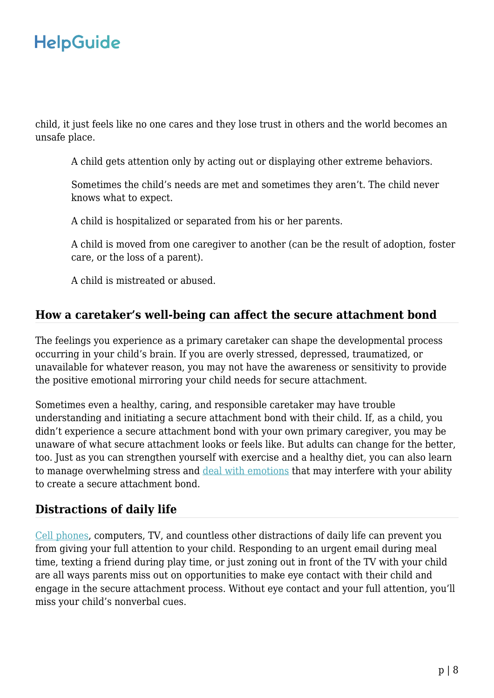child, it just feels like no one cares and they lose trust in others and the world becomes an unsafe place.

A child gets attention only by acting out or displaying other extreme behaviors.

Sometimes the child's needs are met and sometimes they aren't. The child never knows what to expect.

A child is hospitalized or separated from his or her parents.

A child is moved from one caregiver to another (can be the result of adoption, foster care, or the loss of a parent).

A child is mistreated or abused.

### **How a caretaker's well-being can affect the secure attachment bond**

The feelings you experience as a primary caretaker can shape the developmental process occurring in your child's brain. If you are overly stressed, depressed, traumatized, or unavailable for whatever reason, you may not have the awareness or sensitivity to provide the positive emotional mirroring your child needs for secure attachment.

Sometimes even a healthy, caring, and responsible caretaker may have trouble understanding and initiating a secure attachment bond with their child. If, as a child, you didn't experience a secure attachment bond with your own primary caregiver, you may be unaware of what secure attachment looks or feels like. But adults can change for the better, too. Just as you can strengthen yourself with exercise and a healthy diet, you can also learn to manage overwhelming stress and [deal with emotions](https://www.helpguide.org/articles/mental-health/emotional-intelligence-toolkit.htm) that may interfere with your ability to create a secure attachment bond.

### **Distractions of daily life**

[Cell phones,](https://www.helpguide.org/articles/addictions/smartphone-addiction.htm) computers, TV, and countless other distractions of daily life can prevent you from giving your full attention to your child. Responding to an urgent email during meal time, texting a friend during play time, or just zoning out in front of the TV with your child are all ways parents miss out on opportunities to make eye contact with their child and engage in the secure attachment process. Without eye contact and your full attention, you'll miss your child's nonverbal cues.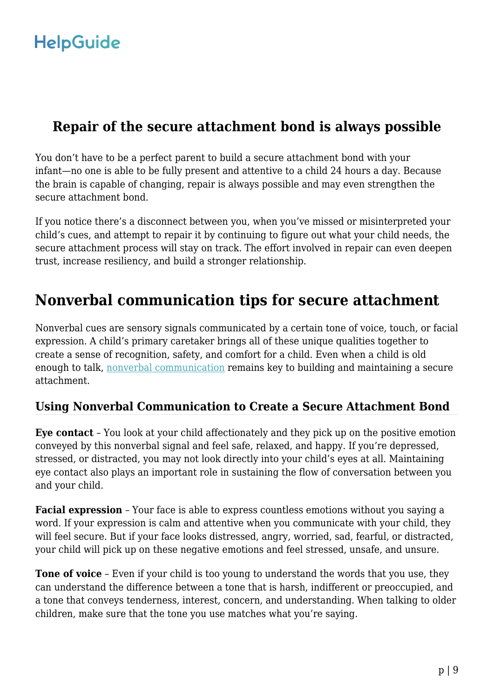### **Repair of the secure attachment bond is always possible**

You don't have to be a perfect parent to build a secure attachment bond with your infant—no one is able to be fully present and attentive to a child 24 hours a day. Because the brain is capable of changing, repair is always possible and may even strengthen the secure attachment bond.

If you notice there's a disconnect between you, when you've missed or misinterpreted your child's cues, and attempt to repair it by continuing to figure out what your child needs, the secure attachment process will stay on track. The effort involved in repair can even deepen trust, increase resiliency, and build a stronger relationship.

## **Nonverbal communication tips for secure attachment**

Nonverbal cues are sensory signals communicated by a certain tone of voice, touch, or facial expression. A child's primary caretaker brings all of these unique qualities together to create a sense of recognition, safety, and comfort for a child. Even when a child is old enough to talk, [nonverbal communication](https://www.helpguide.org/articles/relationships-communication/nonverbal-communication.htm) remains key to building and maintaining a secure attachment.

### **Using Nonverbal Communication to Create a Secure Attachment Bond**

**Eye contact** – You look at your child affectionately and they pick up on the positive emotion conveyed by this nonverbal signal and feel safe, relaxed, and happy. If you're depressed, stressed, or distracted, you may not look directly into your child's eyes at all. Maintaining eye contact also plays an important role in sustaining the flow of conversation between you and your child.

**Facial expression** – Your face is able to express countless emotions without you saying a word. If your expression is calm and attentive when you communicate with your child, they will feel secure. But if your face looks distressed, angry, worried, sad, fearful, or distracted, your child will pick up on these negative emotions and feel stressed, unsafe, and unsure.

**Tone of voice** – Even if your child is too young to understand the words that you use, they can understand the difference between a tone that is harsh, indifferent or preoccupied, and a tone that conveys tenderness, interest, concern, and understanding. When talking to older children, make sure that the tone you use matches what you're saying.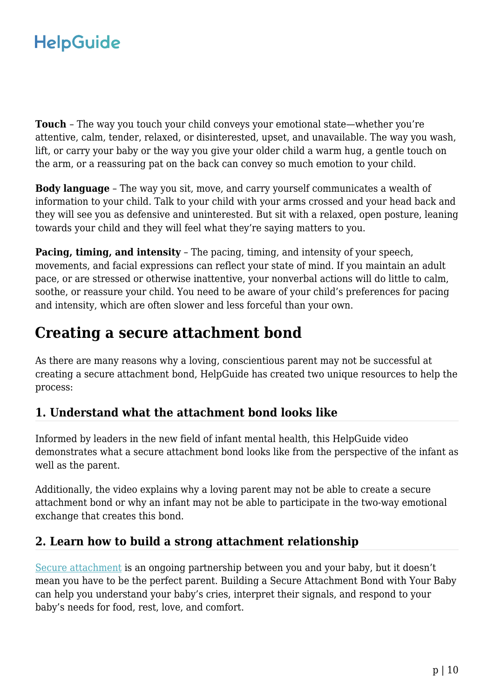**Touch** – The way you touch your child conveys your emotional state—whether you're attentive, calm, tender, relaxed, or disinterested, upset, and unavailable. The way you wash, lift, or carry your baby or the way you give your older child a warm hug, a gentle touch on the arm, or a reassuring pat on the back can convey so much emotion to your child.

**Body language** – The way you sit, move, and carry yourself communicates a wealth of information to your child. Talk to your child with your arms crossed and your head back and they will see you as defensive and uninterested. But sit with a relaxed, open posture, leaning towards your child and they will feel what they're saying matters to you.

**Pacing, timing, and intensity** - The pacing, timing, and intensity of your speech, movements, and facial expressions can reflect your state of mind. If you maintain an adult pace, or are stressed or otherwise inattentive, your nonverbal actions will do little to calm, soothe, or reassure your child. You need to be aware of your child's preferences for pacing and intensity, which are often slower and less forceful than your own.

## **Creating a secure attachment bond**

As there are many reasons why a loving, conscientious parent may not be successful at creating a secure attachment bond, HelpGuide has created two unique resources to help the process:

### **1. Understand what the attachment bond looks like**

Informed by leaders in the new field of infant mental health, this HelpGuide video demonstrates what a secure attachment bond looks like from the perspective of the infant as well as the parent.

Additionally, the video explains why a loving parent may not be able to create a secure attachment bond or why an infant may not be able to participate in the two-way emotional exchange that creates this bond.

### **2. Learn how to build a strong attachment relationship**

[Secure attachment](https://www.helpguide.org/articles/parenting-family/building-a-secure-attachment-bond-with-your-baby.htm) is an ongoing partnership between you and your baby, but it doesn't mean you have to be the perfect parent. Building a Secure Attachment Bond with Your Baby can help you understand your baby's cries, interpret their signals, and respond to your baby's needs for food, rest, love, and comfort.